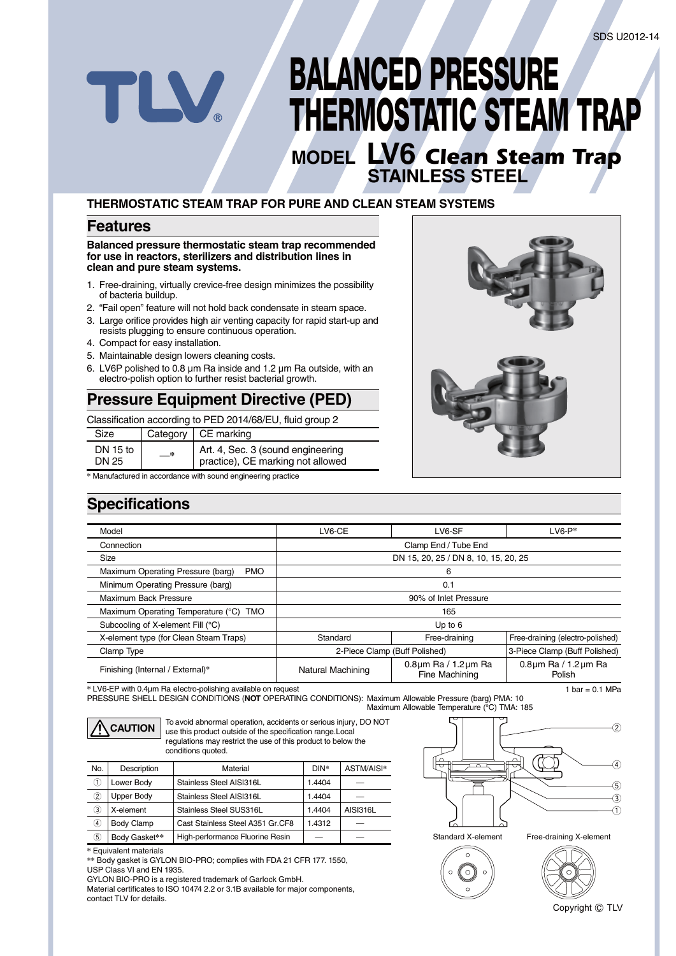# **BALANCED PRESSURE THERMOSTATIC STEAM TRAP**

**MODEL LV6** *Clean Steam Trap* **STAINLESS STEEL**

# **THERMOSTATIC STEAM TRAP FOR PURE AND CLEAN STEAM SYSTEMS**

# **Features**

**Balanced pressure thermostatic steam trap recommended for use in reactors, sterilizers and distribution lines in clean and pure steam systems.**

- 1. Free-draining, virtually crevice-free design minimizes the possibility of bacteria buildup.
- 2. "Fail open" feature will not hold back condensate in steam space.
- 3. Large orifice provides high air venting capacity for rapid start-up and resists plugging to ensure continuous operation.
- 4. Compact for easy installation.
- 5. Maintainable design lowers cleaning costs.

W

6. LV6P polished to 0.8 μm Ra inside and 1.2 μm Ra outside, with an electro-polish option to further resist bacterial growth.

# **Pressure Equipment Directive (PED)**

Classification according to PED 2014/68/EU, fluid group 2

| Size                |    | Category $\vert$ CE marking                                            |
|---------------------|----|------------------------------------------------------------------------|
| DN $15$ to<br>DN 25 | —* | Art. 4, Sec. 3 (sound engineering<br>practice), CE marking not allowed |

**\*** Manufactured in accordance with sound engineering practice

# **Specifications**

| Model                                           | LV6-CE                               | LV6-SF                                            | $LVB-P*$                                  |  |  |  |
|-------------------------------------------------|--------------------------------------|---------------------------------------------------|-------------------------------------------|--|--|--|
| Connection                                      | Clamp End / Tube End                 |                                                   |                                           |  |  |  |
| <b>Size</b>                                     | DN 15, 20, 25 / DN 8, 10, 15, 20, 25 |                                                   |                                           |  |  |  |
| <b>PMO</b><br>Maximum Operating Pressure (barg) |                                      | 6                                                 |                                           |  |  |  |
| Minimum Operating Pressure (barg)               | 0.1                                  |                                                   |                                           |  |  |  |
| Maximum Back Pressure                           | 90% of Inlet Pressure                |                                                   |                                           |  |  |  |
| Maximum Operating Temperature (°C) TMO          | 165                                  |                                                   |                                           |  |  |  |
| Subcooling of X-element Fill (°C)               | Up to $6$                            |                                                   |                                           |  |  |  |
| X-element type (for Clean Steam Traps)          | Standard                             | Free-draining                                     | Free-draining (electro-polished)          |  |  |  |
| Clamp Type                                      | 2-Piece Clamp (Buff Polished)        |                                                   | 3-Piece Clamp (Buff Polished)             |  |  |  |
| Finishing (Internal / External)*                | Natural Machining                    | $0.8 \mu m$ Ra / 1.2 $\mu$ m Ra<br>Fine Machining | $0.8 \mu m$ Ra / 1.2 $\mu$ m Ra<br>Polish |  |  |  |

**\* LV6-EP with 0.4um Ra electro-polishing available on request 1 bar and 1 bar and 1 bar = 0.1 MPa** 

PRESSURE SHELL DESIGN CONDITIONS (**NOT** OPERATING CONDITIONS): Maximum Allowable Pressure (barg) PMA: 10 Maximum Allowable Temperature (°C) TMA: 185

**CAUTION**

To avoid abnormal operation, accidents or serious injury, DO NOT use this product outside of the specification range.Local regulations may restrict the use of this product to below the conditions quoted.

| No.                                                    | Description       | Material                         | DIN*   | ASTM/AISI* |
|--------------------------------------------------------|-------------------|----------------------------------|--------|------------|
| Œ                                                      | Lower Body        | Stainless Steel AISI316L         | 1.4404 |            |
| $\circled{2}$                                          | <b>Upper Body</b> | Stainless Steel AISI316L         | 1.4404 |            |
| 3)                                                     | X-element         | Stainless Steel SUS316L          | 1.4404 | AISI316L   |
| $\left(\begin{smallmatrix} 4 \end{smallmatrix}\right)$ | Body Clamp        | Cast Stainless Steel A351 Gr.CF8 | 1.4312 |            |
| 5                                                      | Body Gasket**     | High-performance Fluorine Resin  |        |            |

**\*** Equivalent materials

**\*\*** Body gasket is GYLON BIO-PRO; complies with FDA 21 CFR 177. 1550, USP Class VI and EN 1935.

GYLON BIO-PRO is a registered trademark of Garlock GmbH.

Material certificates to ISO 10474 2.2 or 3.1B available for major components, contact TLV for details.



Standard X-element Free-draining X-element  $\circ$ 

 $\circ$ ΄o  $\circ$